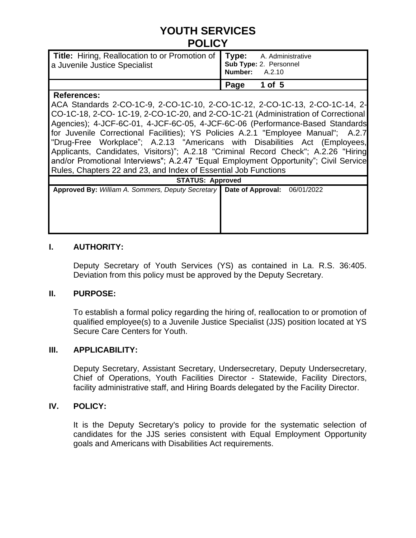# **YOUTH SERVICES POLICY**

| Title: Hiring, Reallocation to or Promotion of Type: A. Administrative<br>a Juvenile Justice Specialist Sub Type: 2. Personnel<br>Number: A.2.10 |                    |
|--------------------------------------------------------------------------------------------------------------------------------------------------|--------------------|
|                                                                                                                                                  | $ $ Page<br>1 of 5 |
| <b>Deferences:</b>                                                                                                                               |                    |

#### **References:**

ACA Standards 2-CO-1C-9, 2-CO-1C-10, 2-CO-1C-12, 2-CO-1C-13, 2-CO-1C-14, 2- CO-1C-18, 2-CO- 1C-19, 2-CO-1C-20, and 2-CO-1C-21 (Administration of Correctional Agencies); 4-JCF-6C-01, 4-JCF-6C-05, 4-JCF-6C-06 (Performance-Based Standards for Juvenile Correctional Facilities); YS Policies A.2.1 "Employee Manual"; A.2.7 "Drug-Free Workplace"; A.2.13 "Americans with Disabilities Act (Employees, Applicants, Candidates, Visitors)"; A.2.18 "Criminal Record Check"; A.2.26 "Hiring and/or Promotional Interviews"; A.2.47 "Equal Employment Opportunity"; Civil Service Rules, Chapters 22 and 23, and Index of Essential Job Functions

| <b>STATUS: Approved</b>                                                          |  |  |  |  |  |  |  |  |
|----------------------------------------------------------------------------------|--|--|--|--|--|--|--|--|
| Approved By: William A. Sommers, Deputy Secretary   Date of Approval: 06/01/2022 |  |  |  |  |  |  |  |  |
|                                                                                  |  |  |  |  |  |  |  |  |
|                                                                                  |  |  |  |  |  |  |  |  |
|                                                                                  |  |  |  |  |  |  |  |  |
|                                                                                  |  |  |  |  |  |  |  |  |
|                                                                                  |  |  |  |  |  |  |  |  |
|                                                                                  |  |  |  |  |  |  |  |  |
|                                                                                  |  |  |  |  |  |  |  |  |

### **I. AUTHORITY:**

Deputy Secretary of Youth Services (YS) as contained in La. R.S. 36:405. Deviation from this policy must be approved by the Deputy Secretary.

#### **II. PURPOSE:**

To establish a formal policy regarding the hiring of, reallocation to or promotion of qualified employee(s) to a Juvenile Justice Specialist (JJS) position located at YS Secure Care Centers for Youth.

#### **III. APPLICABILITY:**

Deputy Secretary, Assistant Secretary, Undersecretary, Deputy Undersecretary, Chief of Operations, Youth Facilities Director - Statewide, Facility Directors, facility administrative staff, and Hiring Boards delegated by the Facility Director.

#### **IV. POLICY:**

It is the Deputy Secretary's policy to provide for the systematic selection of candidates for the JJS series consistent with Equal Employment Opportunity goals and Americans with Disabilities Act requirements.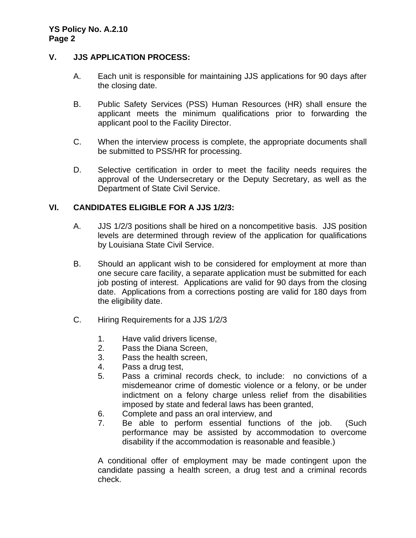#### **YS Policy No. A.2.10 Page 2**

#### **V. JJS APPLICATION PROCESS:**

- A. Each unit is responsible for maintaining JJS applications for 90 days after the closing date.
- B. Public Safety Services (PSS) Human Resources (HR) shall ensure the applicant meets the minimum qualifications prior to forwarding the applicant pool to the Facility Director.
- C. When the interview process is complete, the appropriate documents shall be submitted to PSS/HR for processing.
- D. Selective certification in order to meet the facility needs requires the approval of the Undersecretary or the Deputy Secretary, as well as the Department of State Civil Service.

#### **VI. CANDIDATES ELIGIBLE FOR A JJS 1/2/3:**

- A. JJS 1/2/3 positions shall be hired on a noncompetitive basis. JJS position levels are determined through review of the application for qualifications by Louisiana State Civil Service.
- B. Should an applicant wish to be considered for employment at more than one secure care facility, a separate application must be submitted for each job posting of interest. Applications are valid for 90 days from the closing date. Applications from a corrections posting are valid for 180 days from the eligibility date.
- C. Hiring Requirements for a JJS 1/2/3
	- 1. Have valid drivers license,
	- 2. Pass the Diana Screen,
	- 3. Pass the health screen,
	- 4. Pass a drug test,
	- 5. Pass a criminal records check, to include: no convictions of a misdemeanor crime of domestic violence or a felony, or be under indictment on a felony charge unless relief from the disabilities imposed by state and federal laws has been granted,
	- 6. Complete and pass an oral interview, and
	- 7. Be able to perform essential functions of the job. (Such performance may be assisted by accommodation to overcome disability if the accommodation is reasonable and feasible.)

A conditional offer of employment may be made contingent upon the candidate passing a health screen, a drug test and a criminal records check.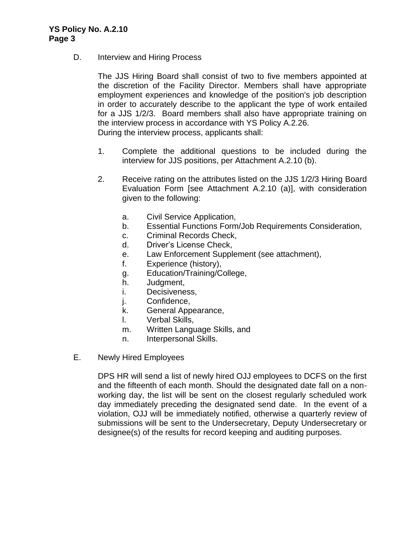D. **Interview and Hiring Process** 

The JJS Hiring Board shall consist of two to five members appointed at the discretion of the Facility Director. Members shall have appropriate employment experiences and knowledge of the position's job description in order to accurately describe to the applicant the type of work entailed for a JJS 1/2/3. Board members shall also have appropriate training on the interview process in accordance with YS Policy A.2.26. During the interview process, applicants shall:

- 1. Complete the additional questions to be included during the interview for JJS positions, per Attachment A.2.10 (b).
- 2. Receive rating on the attributes listed on the JJS 1/2/3 Hiring Board Evaluation Form [see Attachment A.2.10 (a)], with consideration given to the following:
	- a. Civil Service Application,
	- b. Essential Functions Form/Job Requirements Consideration,
	- c. Criminal Records Check,
	- d. Driver's License Check,
	- e. Law Enforcement Supplement (see attachment),
	- f. Experience (history),
	- g. Education/Training/College,
	- h. Judgment,
	- i. Decisiveness,
	- j. Confidence,
	- k. General Appearance,
	- l. Verbal Skills,
	- m. Written Language Skills, and
	- n. Interpersonal Skills.
- E. Newly Hired Employees

DPS HR will send a list of newly hired OJJ employees to DCFS on the first and the fifteenth of each month. Should the designated date fall on a nonworking day, the list will be sent on the closest regularly scheduled work day immediately preceding the designated send date. In the event of a violation, OJJ will be immediately notified, otherwise a quarterly review of submissions will be sent to the Undersecretary, Deputy Undersecretary or designee(s) of the results for record keeping and auditing purposes.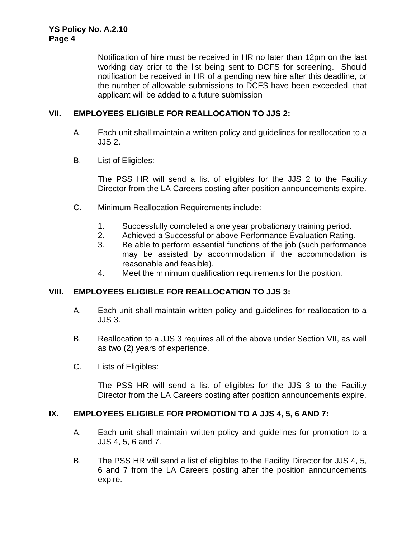Notification of hire must be received in HR no later than 12pm on the last working day prior to the list being sent to DCFS for screening. Should notification be received in HR of a pending new hire after this deadline, or the number of allowable submissions to DCFS have been exceeded, that applicant will be added to a future submission

### **VII. EMPLOYEES ELIGIBLE FOR REALLOCATION TO JJS 2:**

- A. Each unit shall maintain a written policy and guidelines for reallocation to a JJS 2.
- B. List of Eligibles:

The PSS HR will send a list of eligibles for the JJS 2 to the Facility Director from the LA Careers posting after position announcements expire.

- C. Minimum Reallocation Requirements include:
	- 1. Successfully completed a one year probationary training period.
	- 2. Achieved a Successful or above Performance Evaluation Rating.
	- 3. Be able to perform essential functions of the job (such performance may be assisted by accommodation if the accommodation is reasonable and feasible).
	- 4. Meet the minimum qualification requirements for the position.

#### **VIII. EMPLOYEES ELIGIBLE FOR REALLOCATION TO JJS 3:**

- A. Each unit shall maintain written policy and guidelines for reallocation to a JJS 3.
- B. Reallocation to a JJS 3 requires all of the above under Section VII, as well as two (2) years of experience.
- C. Lists of Eligibles:

The PSS HR will send a list of eligibles for the JJS 3 to the Facility Director from the LA Careers posting after position announcements expire.

#### **IX. EMPLOYEES ELIGIBLE FOR PROMOTION TO A JJS 4, 5, 6 AND 7:**

- A. Each unit shall maintain written policy and guidelines for promotion to a JJS 4, 5, 6 and 7.
- B. The PSS HR will send a list of eligibles to the Facility Director for JJS 4, 5, 6 and 7 from the LA Careers posting after the position announcements expire.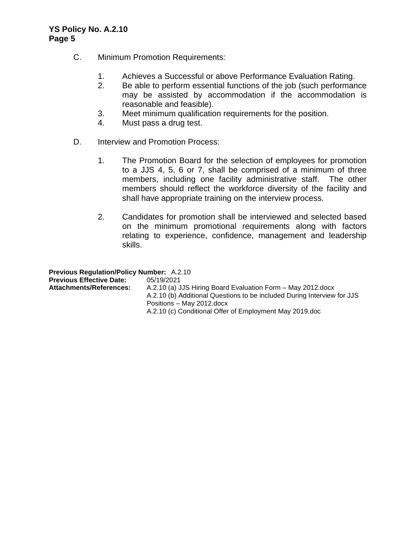#### **YS Policy No. A.2.10 Page 5**

- C. Minimum Promotion Requirements:
	- 1. Achieves a Successful or above Performance Evaluation Rating.
	- 2. Be able to perform essential functions of the job (such performance may be assisted by accommodation if the accommodation is reasonable and feasible).
	- 3. Meet minimum qualification requirements for the position.
	- 4. Must pass a drug test.
- D. Interview and Promotion Process:
	- 1. The Promotion Board for the selection of employees for promotion to a JJS 4, 5, 6 or 7, shall be comprised of a minimum of three members, including one facility administrative staff. The other members should reflect the workforce diversity of the facility and shall have appropriate training on the interview process.
	- 2. Candidates for promotion shall be interviewed and selected based on the minimum promotional requirements along with factors relating to experience, confidence, management and leadership skills.

**Previous Regulation/Policy Number:** A.2.10 **Previous Effective Date:** 05/19/2021 **Attachments/References:** A.2.10 (a) JJS Hiring Board Evaluation Form – May 2012.docx A.2.10 (b) Additional Questions to be included During Interview for JJS Positions – May 2012.docx A.2.10 (c) Conditional Offer of Employment May 2019.doc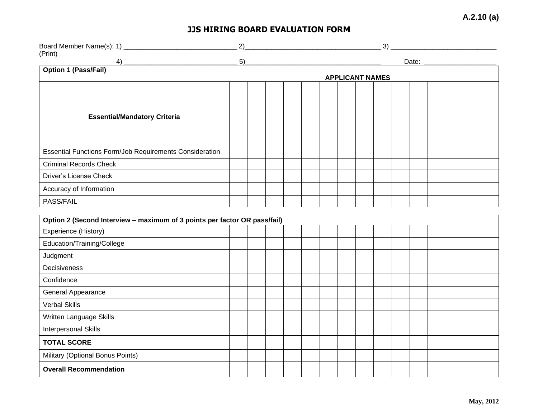**A.2.10 (a)**

## **JJS HIRING BOARD EVALUATION FORM**

|                                                                           | 2)<br>3)                                                                                                                        |  |  |  |                        |  |  |  |  |  |  |  |  |  |  |
|---------------------------------------------------------------------------|---------------------------------------------------------------------------------------------------------------------------------|--|--|--|------------------------|--|--|--|--|--|--|--|--|--|--|
| (Print)<br>4)                                                             | $\begin{tabular}{ c c c c } \hline 5) & \quad \quad & \quad \quad & \quad \quad & \quad \quad \\ \hline \end{tabular}$<br>Date: |  |  |  |                        |  |  |  |  |  |  |  |  |  |  |
| <b>Option 1 (Pass/Fail)</b>                                               |                                                                                                                                 |  |  |  |                        |  |  |  |  |  |  |  |  |  |  |
|                                                                           |                                                                                                                                 |  |  |  | <b>APPLICANT NAMES</b> |  |  |  |  |  |  |  |  |  |  |
| <b>Essential/Mandatory Criteria</b>                                       |                                                                                                                                 |  |  |  |                        |  |  |  |  |  |  |  |  |  |  |
| Essential Functions Form/Job Requirements Consideration                   |                                                                                                                                 |  |  |  |                        |  |  |  |  |  |  |  |  |  |  |
| <b>Criminal Records Check</b>                                             |                                                                                                                                 |  |  |  |                        |  |  |  |  |  |  |  |  |  |  |
| <b>Driver's License Check</b>                                             |                                                                                                                                 |  |  |  |                        |  |  |  |  |  |  |  |  |  |  |
| Accuracy of Information                                                   |                                                                                                                                 |  |  |  |                        |  |  |  |  |  |  |  |  |  |  |
| PASS/FAIL                                                                 |                                                                                                                                 |  |  |  |                        |  |  |  |  |  |  |  |  |  |  |
| Option 2 (Second Interview - maximum of 3 points per factor OR pass/fail) |                                                                                                                                 |  |  |  |                        |  |  |  |  |  |  |  |  |  |  |
| Experience (History)                                                      |                                                                                                                                 |  |  |  |                        |  |  |  |  |  |  |  |  |  |  |
| Education/Training/College                                                |                                                                                                                                 |  |  |  |                        |  |  |  |  |  |  |  |  |  |  |
| Judgment                                                                  |                                                                                                                                 |  |  |  |                        |  |  |  |  |  |  |  |  |  |  |
| Decisiveness                                                              |                                                                                                                                 |  |  |  |                        |  |  |  |  |  |  |  |  |  |  |
| Confidence                                                                |                                                                                                                                 |  |  |  |                        |  |  |  |  |  |  |  |  |  |  |
| <b>General Appearance</b>                                                 |                                                                                                                                 |  |  |  |                        |  |  |  |  |  |  |  |  |  |  |
| <b>Verbal Skills</b>                                                      |                                                                                                                                 |  |  |  |                        |  |  |  |  |  |  |  |  |  |  |
| Written Language Skills                                                   |                                                                                                                                 |  |  |  |                        |  |  |  |  |  |  |  |  |  |  |
| <b>Interpersonal Skills</b>                                               |                                                                                                                                 |  |  |  |                        |  |  |  |  |  |  |  |  |  |  |
| <b>TOTAL SCORE</b>                                                        |                                                                                                                                 |  |  |  |                        |  |  |  |  |  |  |  |  |  |  |
| Military (Optional Bonus Points)                                          |                                                                                                                                 |  |  |  |                        |  |  |  |  |  |  |  |  |  |  |
| <b>Overall Recommendation</b>                                             |                                                                                                                                 |  |  |  |                        |  |  |  |  |  |  |  |  |  |  |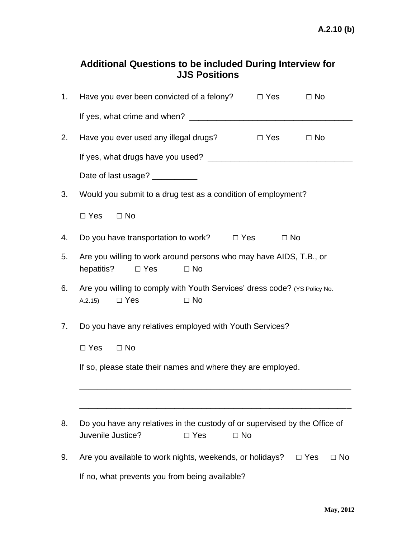## **Additional Questions to be included During Interview for JJS Positions**

| 1. | Have you ever been convicted of a felony?                                                                                  | $\Box$ Yes           | $\Box$ No               |  |  |  |  |  |  |
|----|----------------------------------------------------------------------------------------------------------------------------|----------------------|-------------------------|--|--|--|--|--|--|
|    |                                                                                                                            |                      |                         |  |  |  |  |  |  |
| 2. | Have you ever used any illegal drugs?                                                                                      | $\Box$ Yes $\Box$ No |                         |  |  |  |  |  |  |
|    |                                                                                                                            |                      |                         |  |  |  |  |  |  |
|    | Date of last usage? __________                                                                                             |                      |                         |  |  |  |  |  |  |
| 3. | Would you submit to a drug test as a condition of employment?                                                              |                      |                         |  |  |  |  |  |  |
|    | $\Box$ Yes $\Box$ No                                                                                                       |                      |                         |  |  |  |  |  |  |
| 4. | Do you have transportation to work? $\Box$ Yes                                                                             | $\Box$ No            |                         |  |  |  |  |  |  |
| 5. | Are you willing to work around persons who may have AIDS, T.B., or<br>$\Box$ No<br>hepatitis?<br>$\Box$ Yes                |                      |                         |  |  |  |  |  |  |
| 6. | Are you willing to comply with Youth Services' dress code? (YS Policy No.<br>$\Box$ Yes<br>$\Box$ No<br>A.2.15)            |                      |                         |  |  |  |  |  |  |
| 7. | Do you have any relatives employed with Youth Services?                                                                    |                      |                         |  |  |  |  |  |  |
|    | $\Box$ No<br>$\Box$ Yes                                                                                                    |                      |                         |  |  |  |  |  |  |
|    | If so, please state their names and where they are employed.                                                               |                      |                         |  |  |  |  |  |  |
|    |                                                                                                                            |                      |                         |  |  |  |  |  |  |
| 8. | Do you have any relatives in the custody of or supervised by the Office of<br>Juvenile Justice?<br>$\Box$ Yes<br>$\Box$ No |                      |                         |  |  |  |  |  |  |
| 9. | Are you available to work nights, weekends, or holidays?                                                                   |                      | $\Box$ Yes<br>$\Box$ No |  |  |  |  |  |  |
|    | If no, what prevents you from being available?                                                                             |                      |                         |  |  |  |  |  |  |